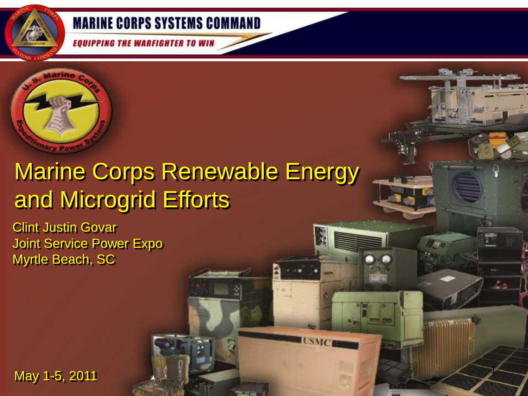

**EQUIPPING THE WARFIGHTER TO WIN** 



# Marine Corps Renewable Energy and Microgrid Efforts

1

Clint Justin Govar Joint Service Power Expo Myrtle Beach, SC

May 1-5, 2011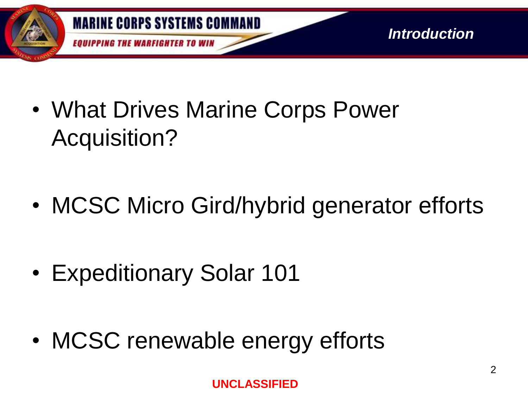

- What Drives Marine Corps Power Acquisition?
- MCSC Micro Gird/hybrid generator efforts

- Expeditionary Solar 101
- MCSC renewable energy efforts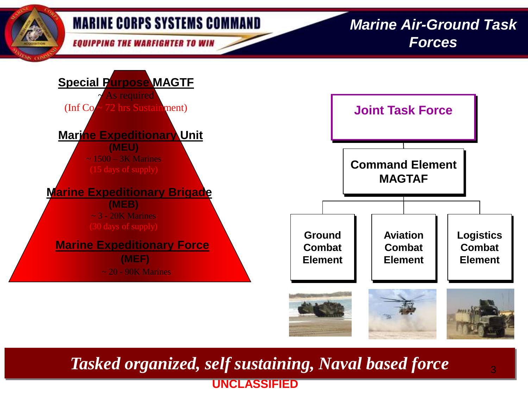**EQUIPPING THE WARFIGHTER TO WIN** 

*Marine Air-Ground Task Forces* 



**Tasked organized, self sustaining, Naval based force UNCLASSIFIED**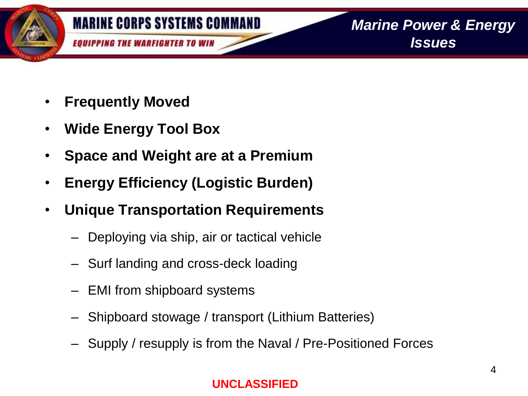

- **Frequently Moved**
- **Wide Energy Tool Box**
- **Space and Weight are at a Premium**
- **Energy Efficiency (Logistic Burden)**
- **Unique Transportation Requirements**
	- Deploying via ship, air or tactical vehicle
	- Surf landing and cross-deck loading
	- EMI from shipboard systems
	- Shipboard stowage / transport (Lithium Batteries)
	- Supply / resupply is from the Naval / Pre-Positioned Forces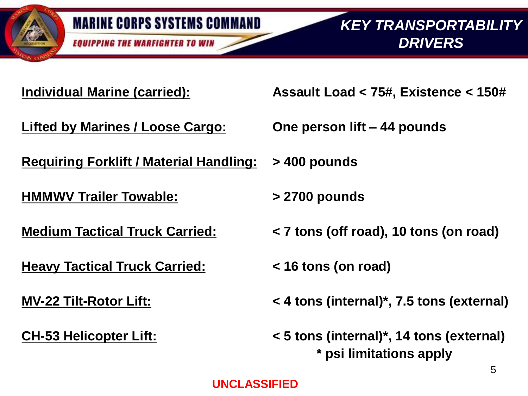

*KEY TRANSPORTABILITY DRIVERS*

**Lifted by Marines / Loose Cargo: One person lift – 44 pounds**

**Requiring Forklift / Material Handling: > 400 pounds**

**HMMWV Trailer Towable: > 2700 pounds**

**Heavy Tactical Truck Carried: < 16 tons (on road)**

**Individual Marine (carried): Assault Load < 75#, Existence < 150#**

**Medium Tactical Truck Carried: < 7 tons (off road), 10 tons (on road)**

**MV-22 Tilt-Rotor Lift: < 4 tons (internal)\*, 7.5 tons (external)**

**CH-53 Helicopter Lift: < 5 tons (internal)\*, 14 tons (external) \* psi limitations apply**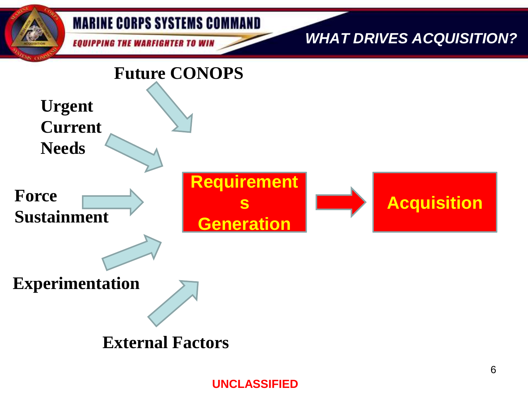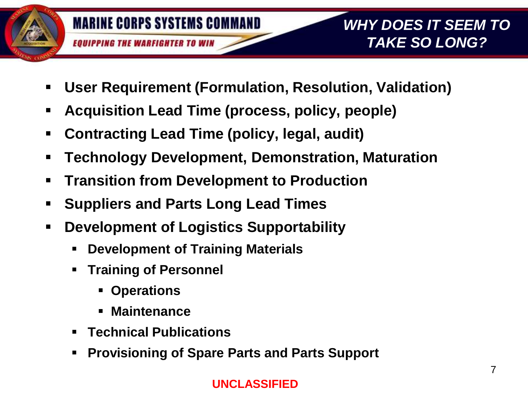

- **User Requirement (Formulation, Resolution, Validation)**
- **Acquisition Lead Time (process, policy, people)**
- **Contracting Lead Time (policy, legal, audit)**
- **Technology Development, Demonstration, Maturation**
- **Figure 1 Fransition from Development to Production**
- **Suppliers and Parts Long Lead Times**
- **Development of Logistics Supportability**
	- **Development of Training Materials**
	- **Training of Personnel** 
		- **Operations**
		- **Maintenance**
	- **Technical Publications**
	- **Provisioning of Spare Parts and Parts Support**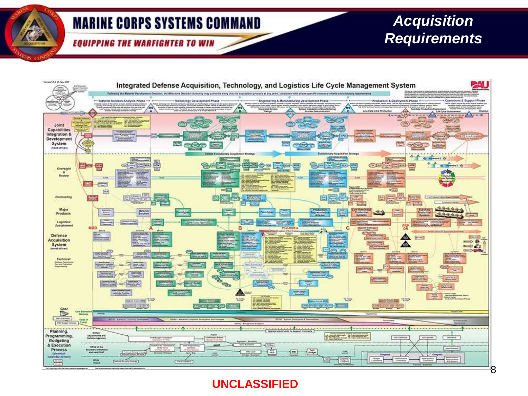**EQUIPPING THE WARFIGHTER TO WIN** 

## *Acquisition Requirements*

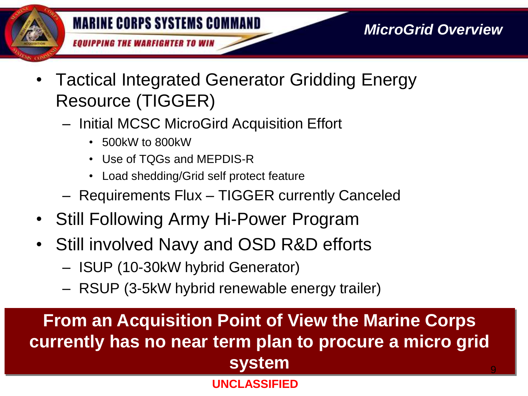

- Tactical Integrated Generator Gridding Energy Resource (TIGGER)
	- Initial MCSC MicroGird Acquisition Effort
		- 500kW to 800kW
		- Use of TQGs and MEPDIS-R
		- Load shedding/Grid self protect feature
	- Requirements Flux TIGGER currently Canceled
- Still Following Army Hi-Power Program
- Still involved Navy and OSD R&D efforts
	- ISUP (10-30kW hybrid Generator)
	- RSUP (3-5kW hybrid renewable energy trailer)

**From an Acquisition Point of View the Marine Corps currently has no near term plan to procure a micro grid system UNCLASSIFIED**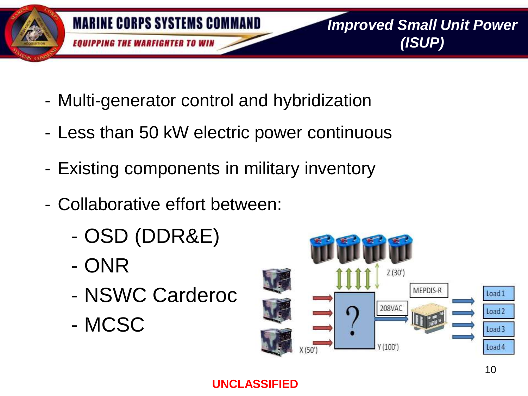

- Multi-generator control and hybridization
- Less than 50 kW electric power continuous
- Existing components in military inventory
- Collaborative effort between:
	- OSD (DDR&E)
	- ONR
	- NSWC Carderoc
	- MCSC

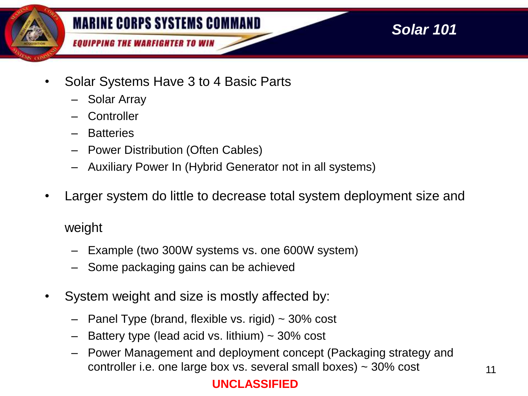



**EQUIPPING THE WARFIGHTER TO WIN** 

## *Solar 101*

- Solar Systems Have 3 to 4 Basic Parts
	- Solar Array
	- Controller
	- **Batteries**
	- Power Distribution (Often Cables)
	- Auxiliary Power In (Hybrid Generator not in all systems)
- Larger system do little to decrease total system deployment size and

weight

- Example (two 300W systems vs. one 600W system)
- Some packaging gains can be achieved
- System weight and size is mostly affected by:
	- Panel Type (brand, flexible vs. rigid)  $\sim$  30% cost
	- $-$  Battery type (lead acid vs. lithium)  $\sim$  30% cost
	- Power Management and deployment concept (Packaging strategy and controller i.e. one large box vs. several small boxes)  $\sim$  30% cost  $11$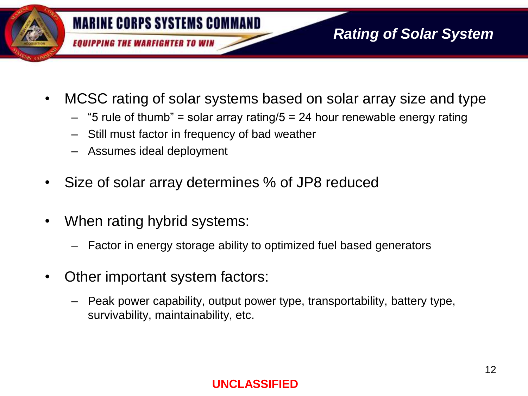

- MCSC rating of solar systems based on solar array size and type
	- $-$  "5 rule of thumb" = solar array rating/5 = 24 hour renewable energy rating
	- Still must factor in frequency of bad weather
	- Assumes ideal deployment
- Size of solar array determines % of JP8 reduced
- When rating hybrid systems:
	- Factor in energy storage ability to optimized fuel based generators
- Other important system factors:
	- Peak power capability, output power type, transportability, battery type, survivability, maintainability, etc.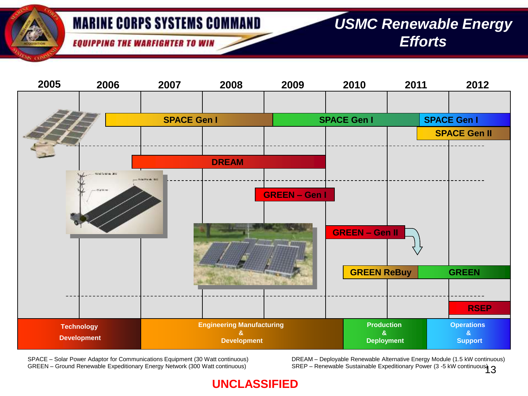**EQUIPPING THE WARFIGHTER TO WIN** 

## *USMC Renewable Energy Efforts*



SPACE – Solar Power Adaptor for Communications Equipment (30 Watt continuous) DREAM – Deployable Renewable Alternative Energy Module (1.5 kW continuous) GREEN – Ground Renewable Expeditionary Energy Network (300 Watt continuous)

SREP – Renewable Sustainable Expeditionary Power (3 -5 kW continuous) 3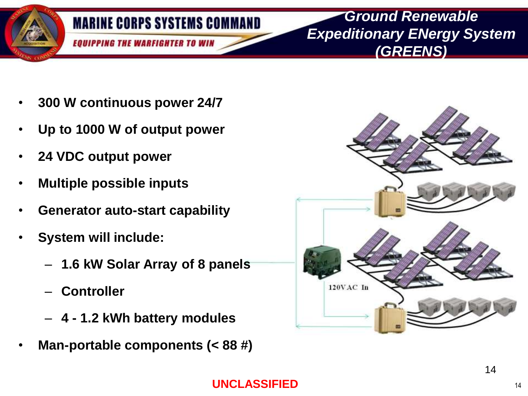

*Ground Renewable Expeditionary ENergy System (GREENS)*

- **300 W continuous power 24/7**
- **Up to 1000 W of output power**
- **24 VDC output power**
- **Multiple possible inputs**
- **Generator auto-start capability**
- **System will include:** 
	- **1.6 kW Solar Array of 8 panels**
	- **Controller**
	- **4 - 1.2 kWh battery modules**
- **Man-portable components (< 88 #)**



14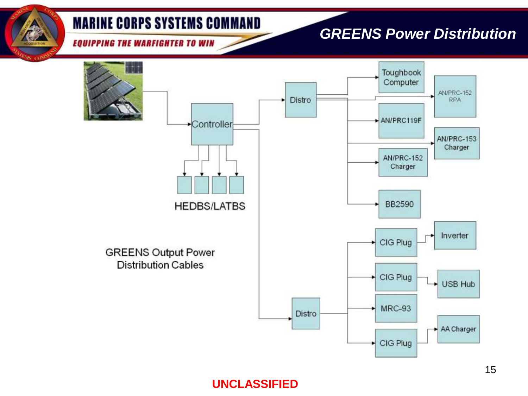#### **EQUIPPING THE WARFIGHTER TO WIN**

### *GREENS Power Distribution*

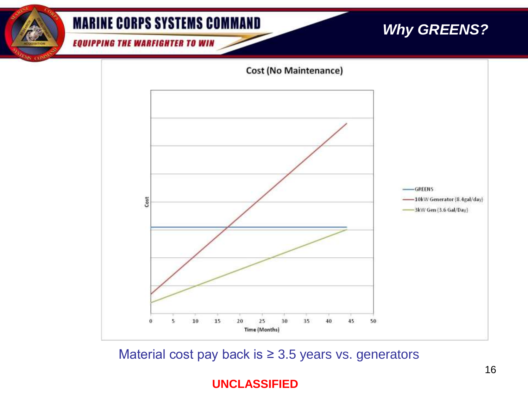#### **EQUIPPING THE WARFIGHTER TO WIN**

### *Why GREENS?*



Material cost pay back is ≥ 3.5 years vs. generators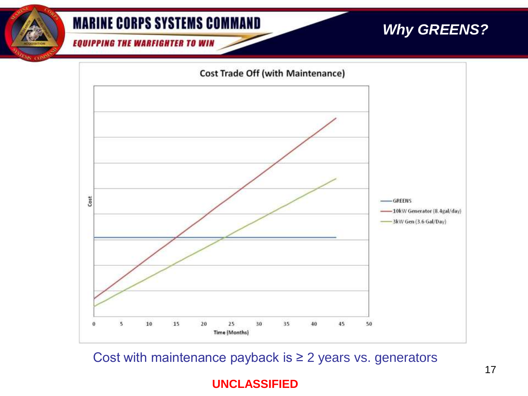**EQUIPPING THE WARFIGHTER TO WIN** 





Cost with maintenance payback is  $\geq 2$  years vs. generators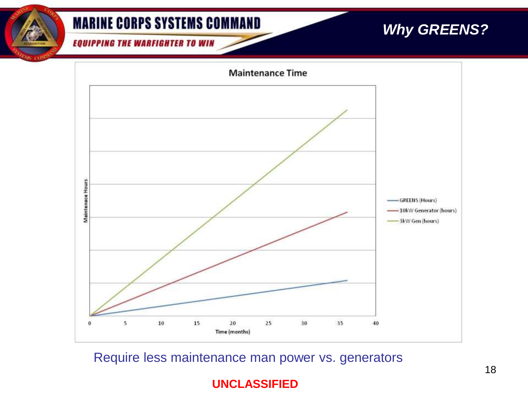**EQUIPPING THE WARFIGHTER TO WIN** 

### *Why GREENS?*



Require less maintenance man power vs. generators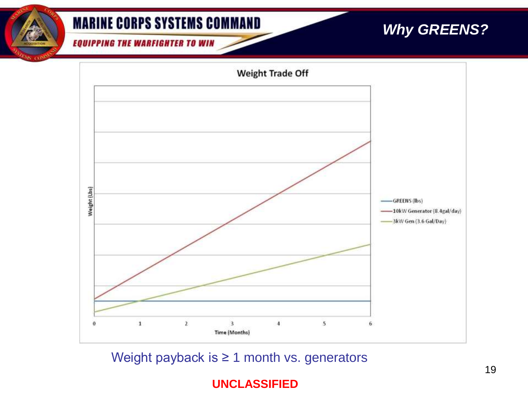**EQUIPPING THE WARFIGHTER TO WIN** 

### *Why GREENS?*



Weight payback is ≥ 1 month vs. generators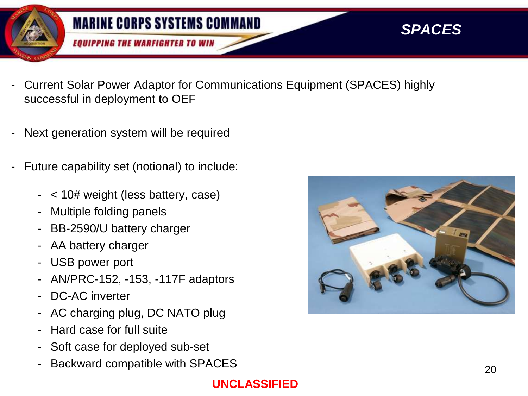

- Current Solar Power Adaptor for Communications Equipment (SPACES) highly successful in deployment to OEF
- Next generation system will be required
- Future capability set (notional) to include:
	- < 10# weight (less battery, case)
	- Multiple folding panels
	- BB-2590/U battery charger
	- AA battery charger
	- USB power port
	- AN/PRC-152, -153, -117F adaptors
	- DC-AC inverter
	- AC charging plug, DC NATO plug
	- Hard case for full suite
	- Soft case for deployed sub-set
	- Backward compatible with SPACES 20

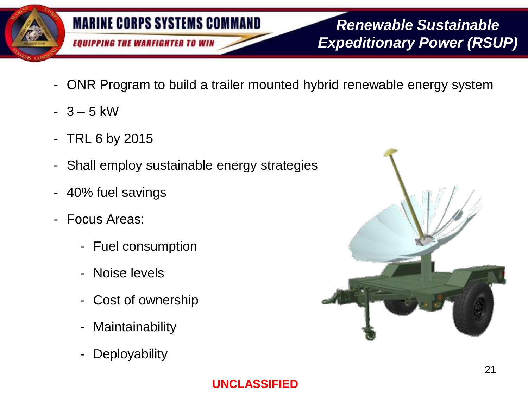

- ONR Program to build a trailer mounted hybrid renewable energy system
- $-3 5$  kW
- TRL 6 by 2015
- Shall employ sustainable energy strategies
- 40% fuel savings
- Focus Areas:
	- Fuel consumption
	- Noise levels
	- Cost of ownership
	- Maintainability
	- **Deployability**